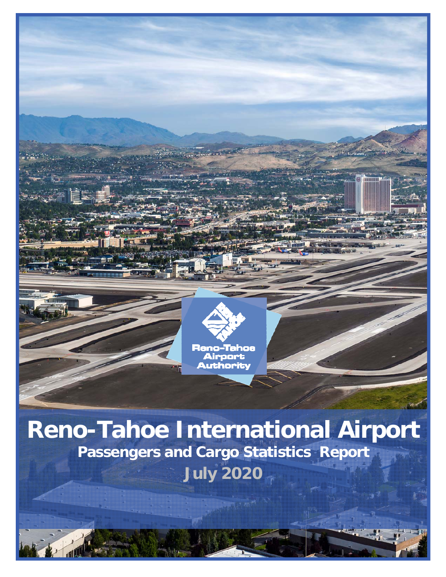

# **Reno-Tahoe International Airport Passengers and Cargo Statistics Report July 2020**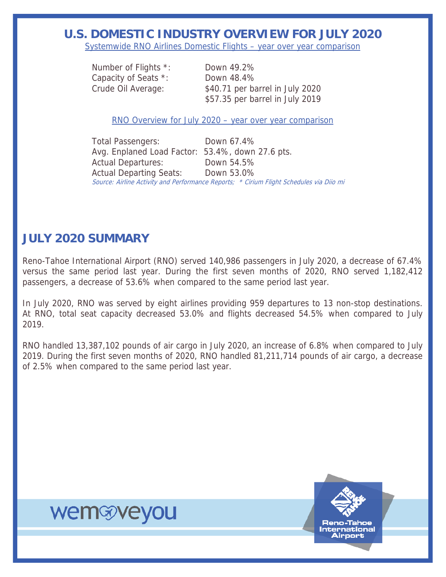## **U.S. DOMESTIC INDUSTRY OVERVIEW FOR JULY 2020**

Systemwide RNO Airlines Domestic Flights – year over year comparison

 Number of Flights \*: Down 49.2% Capacity of Seats \*: Down 48.4%

 Crude Oil Average: \$40.71 per barrel in July 2020 \$57.35 per barrel in July 2019

RNO Overview for July 2020 – year over year comparison

 Total Passengers: Down 67.4% Avg. Enplaned Load Factor: 53.4%, down 27.6 pts. Actual Departures: Down 54.5% Actual Departing Seats: Down 53.0% Source: Airline Activity and Performance Reports; \* Cirium Flight Schedules via Diio mi

## **JULY 2020 SUMMARY**

Reno-Tahoe International Airport (RNO) served 140,986 passengers in July 2020, a decrease of 67.4% versus the same period last year. During the first seven months of 2020, RNO served 1,182,412 passengers, a decrease of 53.6% when compared to the same period last year.

In July 2020, RNO was served by eight airlines providing 959 departures to 13 non-stop destinations. At RNO, total seat capacity decreased 53.0% and flights decreased 54.5% when compared to July 2019.

RNO handled 13,387,102 pounds of air cargo in July 2020, an increase of 6.8% when compared to July 2019. During the first seven months of 2020, RNO handled 81,211,714 pounds of air cargo, a decrease of 2.5% when compared to the same period last year.

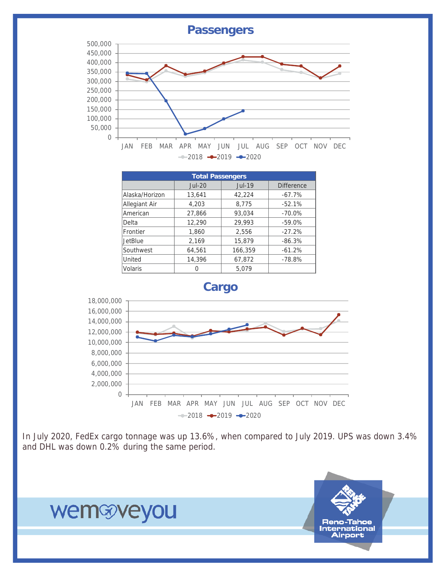

In July 2020, FedEx cargo tonnage was up 13.6%, when compared to July 2019. UPS was down 3.4% and DHL was down 0.2% during the same period.

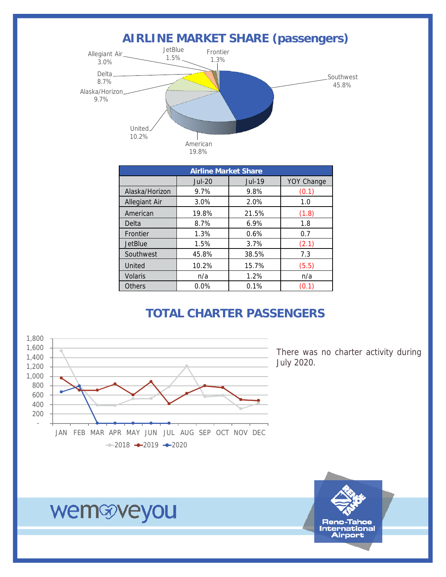

| <b>Airline Market Share</b> |          |               |                   |  |  |  |  |  |
|-----------------------------|----------|---------------|-------------------|--|--|--|--|--|
|                             | $Jul-20$ | <b>Jul-19</b> | <b>YOY Change</b> |  |  |  |  |  |
| Alaska/Horizon              | 9.7%     | 9.8%          | (0.1)             |  |  |  |  |  |
| <b>Allegiant Air</b>        | 3.0%     | 2.0%          | 1.0               |  |  |  |  |  |
| American                    | 19.8%    | 21.5%         | (1.8)             |  |  |  |  |  |
| Delta                       | 8.7%     | 6.9%          | 1.8               |  |  |  |  |  |
| Frontier                    | 1.3%     | 0.6%          | 0.7               |  |  |  |  |  |
| <b>JetBlue</b>              | 1.5%     | 3.7%          | (2.1)             |  |  |  |  |  |
| Southwest                   | 45.8%    | 38.5%         | 7.3               |  |  |  |  |  |
| United                      | 10.2%    | 15.7%         | (5.5)             |  |  |  |  |  |
| <b>Volaris</b>              | n/a      | 1.2%          | n/a               |  |  |  |  |  |
| <b>Others</b>               | $0.0\%$  | 0.1%          | (0.1)             |  |  |  |  |  |

## **TOTAL CHARTER PASSENGERS**



There was no charter activity during July 2020.



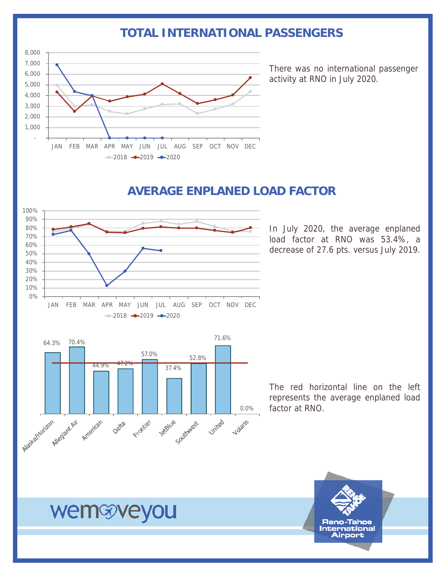## **TOTAL INTERNATIONAL PASSENGERS**



There was no international passenger activity at RNO in July 2020.

## **AVERAGE ENPLANED LOAD FACTOR**



In July 2020, the average enplaned load factor at RNO was 53.4%, a decrease of 27.6 pts. versus July 2019.



The red horizontal line on the left represents the average enplaned load factor at RNO.

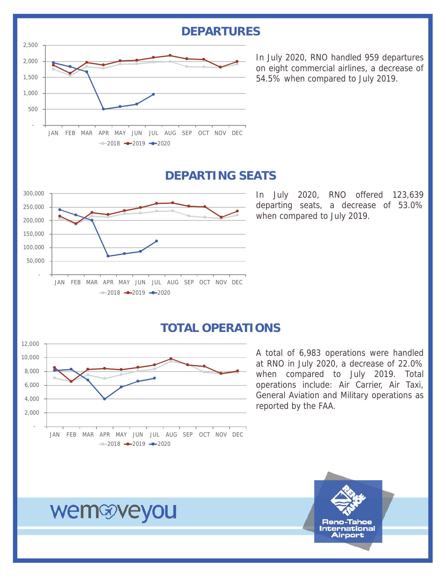### **DEPARTURES**



In July 2020, RNO handled 959 departures on eight commercial airlines, a decrease of 54.5% when compared to July 2019.

### **DEPARTING SEATS**



In July 2020, RNO offered 123,639 departing seats, a decrease of 53.0% when compared to July 2019.

## **TOTAL OPERATIONS**



A total of 6,983 operations were handled at RNO in July 2020, a decrease of 22.0% when compared to July 2019. Total operations include: Air Carrier, Air Taxi, General Aviation and Military operations as reported by the FAA.



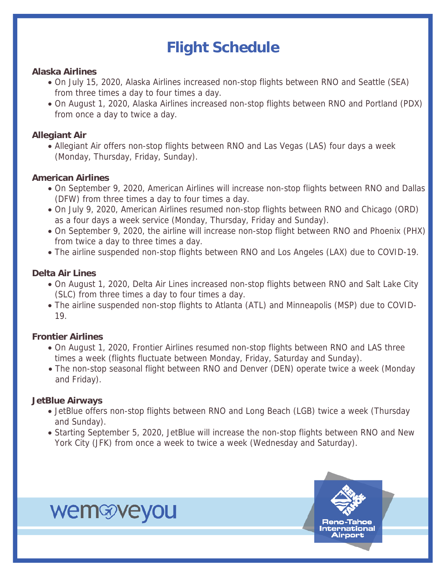## **Flight Schedule**

#### **Alaska Airlines**

- On July 15, 2020, Alaska Airlines increased non-stop flights between RNO and Seattle (SEA) from three times a day to four times a day.
- On August 1, 2020, Alaska Airlines increased non-stop flights between RNO and Portland (PDX) from once a day to twice a day.

#### **Allegiant Air**

Allegiant Air offers non-stop flights between RNO and Las Vegas (LAS) four days a week (Monday, Thursday, Friday, Sunday).

#### **American Airlines**

- On September 9, 2020, American Airlines will increase non-stop flights between RNO and Dallas (DFW) from three times a day to four times a day.
- On July 9, 2020, American Airlines resumed non-stop flights between RNO and Chicago (ORD) as a four days a week service (Monday, Thursday, Friday and Sunday).
- On September 9, 2020, the airline will increase non-stop flight between RNO and Phoenix (PHX) from twice a day to three times a day.
- The airline suspended non-stop flights between RNO and Los Angeles (LAX) due to COVID-19.

#### **Delta Air Lines**

- On August 1, 2020, Delta Air Lines increased non-stop flights between RNO and Salt Lake City (SLC) from three times a day to four times a day.
- The airline suspended non-stop flights to Atlanta (ATL) and Minneapolis (MSP) due to COVID-19.

#### **Frontier Airlines**

- On August 1, 2020, Frontier Airlines resumed non-stop flights between RNO and LAS three times a week (flights fluctuate between Monday, Friday, Saturday and Sunday).
- The non-stop seasonal flight between RNO and Denver (DEN) operate twice a week (Monday and Friday).

#### **JetBlue Airways**

- JetBlue offers non-stop flights between RNO and Long Beach (LGB) twice a week (Thursday and Sunday).
- Starting September 5, 2020, JetBlue will increase the non-stop flights between RNO and New York City (JFK) from once a week to twice a week (Wednesday and Saturday).

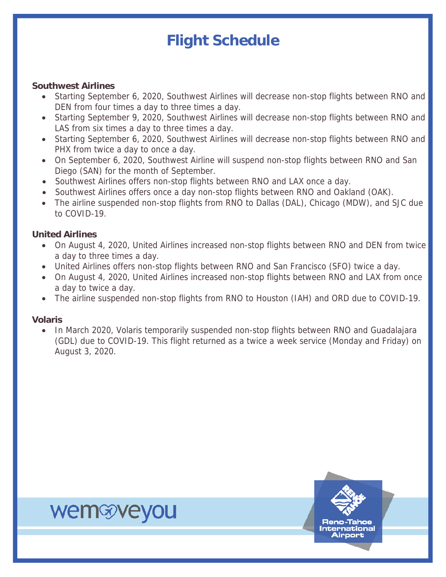## **Flight Schedule**

#### **Southwest Airlines**

- Starting September 6, 2020, Southwest Airlines will decrease non-stop flights between RNO and DEN from four times a day to three times a day.
- Starting September 9, 2020, Southwest Airlines will decrease non-stop flights between RNO and LAS from six times a day to three times a day.
- Starting September 6, 2020, Southwest Airlines will decrease non-stop flights between RNO and PHX from twice a day to once a day.
- On September 6, 2020, Southwest Airline will suspend non-stop flights between RNO and San Diego (SAN) for the month of September.
- Southwest Airlines offers non-stop flights between RNO and LAX once a day.
- Southwest Airlines offers once a day non-stop flights between RNO and Oakland (OAK).
- The airline suspended non-stop flights from RNO to Dallas (DAL), Chicago (MDW), and SJC due to COVID-19.

#### **United Airlines**

wemwyeyou

- On August 4, 2020, United Airlines increased non-stop flights between RNO and DEN from twice a day to three times a day.
- United Airlines offers non-stop flights between RNO and San Francisco (SFO) twice a day.
- On August 4, 2020, United Airlines increased non-stop flights between RNO and LAX from once a day to twice a day.
- The airline suspended non-stop flights from RNO to Houston (IAH) and ORD due to COVID-19.

#### **Volaris**

• In March 2020, Volaris temporarily suspended non-stop flights between RNO and Guadalajara (GDL) due to COVID-19. This flight returned as a twice a week service (Monday and Friday) on August 3, 2020.